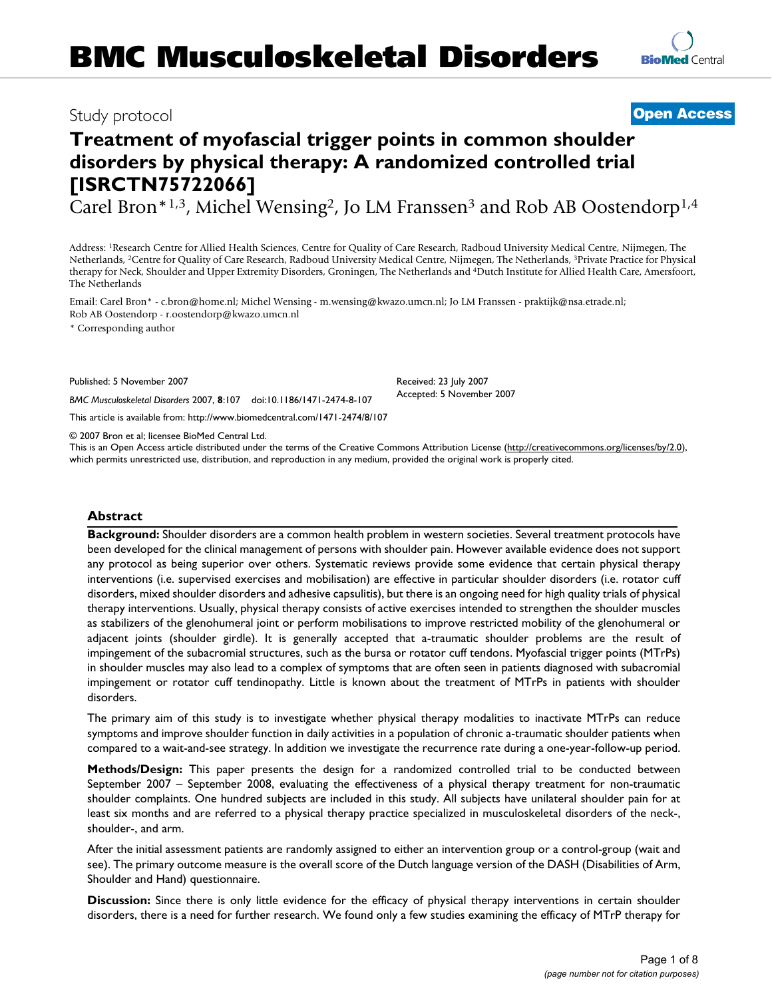# Study protocol **[Open Access](http://www.biomedcentral.com/info/about/charter/)**

# **Treatment of myofascial trigger points in common shoulder disorders by physical therapy: A randomized controlled trial [ISRCTN75722066]**

Carel Bron<sup>\*1,3</sup>, Michel Wensing<sup>2</sup>, Jo LM Franssen<sup>3</sup> and Rob AB Oostendorp<sup>1,4</sup>

Address: 1Research Centre for Allied Health Sciences, Centre for Quality of Care Research, Radboud University Medical Centre, Nijmegen, The Netherlands, 2Centre for Quality of Care Research, Radboud University Medical Centre, Nijmegen, The Netherlands, 3Private Practice for Physical therapy for Neck, Shoulder and Upper Extremity Disorders, Groningen, The Netherlands and 4Dutch Institute for Allied Health Care, Amersfoort, The Netherlands

Email: Carel Bron\* - c.bron@home.nl; Michel Wensing - m.wensing@kwazo.umcn.nl; Jo LM Franssen - praktijk@nsa.etrade.nl; Rob AB Oostendorp - r.oostendorp@kwazo.umcn.nl

\* Corresponding author

Published: 5 November 2007

*BMC Musculoskeletal Disorders* 2007, **8**:107 doi:10.1186/1471-2474-8-107

[This article is available from: http://www.biomedcentral.com/1471-2474/8/107](http://www.biomedcentral.com/1471-2474/8/107)

© 2007 Bron et al; licensee BioMed Central Ltd.

This is an Open Access article distributed under the terms of the Creative Commons Attribution License [\(http://creativecommons.org/licenses/by/2.0\)](http://creativecommons.org/licenses/by/2.0), which permits unrestricted use, distribution, and reproduction in any medium, provided the original work is properly cited.

Received: 23 July 2007 Accepted: 5 November 2007

# **Abstract**

**Background:** Shoulder disorders are a common health problem in western societies. Several treatment protocols have been developed for the clinical management of persons with shoulder pain. However available evidence does not support any protocol as being superior over others. Systematic reviews provide some evidence that certain physical therapy interventions (i.e. supervised exercises and mobilisation) are effective in particular shoulder disorders (i.e. rotator cuff disorders, mixed shoulder disorders and adhesive capsulitis), but there is an ongoing need for high quality trials of physical therapy interventions. Usually, physical therapy consists of active exercises intended to strengthen the shoulder muscles as stabilizers of the glenohumeral joint or perform mobilisations to improve restricted mobility of the glenohumeral or adjacent joints (shoulder girdle). It is generally accepted that a-traumatic shoulder problems are the result of impingement of the subacromial structures, such as the bursa or rotator cuff tendons. Myofascial trigger points (MTrPs) in shoulder muscles may also lead to a complex of symptoms that are often seen in patients diagnosed with subacromial impingement or rotator cuff tendinopathy. Little is known about the treatment of MTrPs in patients with shoulder disorders.

The primary aim of this study is to investigate whether physical therapy modalities to inactivate MTrPs can reduce symptoms and improve shoulder function in daily activities in a population of chronic a-traumatic shoulder patients when compared to a wait-and-see strategy. In addition we investigate the recurrence rate during a one-year-follow-up period.

**Methods/Design:** This paper presents the design for a randomized controlled trial to be conducted between September 2007 – September 2008, evaluating the effectiveness of a physical therapy treatment for non-traumatic shoulder complaints. One hundred subjects are included in this study. All subjects have unilateral shoulder pain for at least six months and are referred to a physical therapy practice specialized in musculoskeletal disorders of the neck-, shoulder-, and arm.

After the initial assessment patients are randomly assigned to either an intervention group or a control-group (wait and see). The primary outcome measure is the overall score of the Dutch language version of the DASH (Disabilities of Arm, Shoulder and Hand) questionnaire.

**Discussion:** Since there is only little evidence for the efficacy of physical therapy interventions in certain shoulder disorders, there is a need for further research. We found only a few studies examining the efficacy of MTrP therapy for

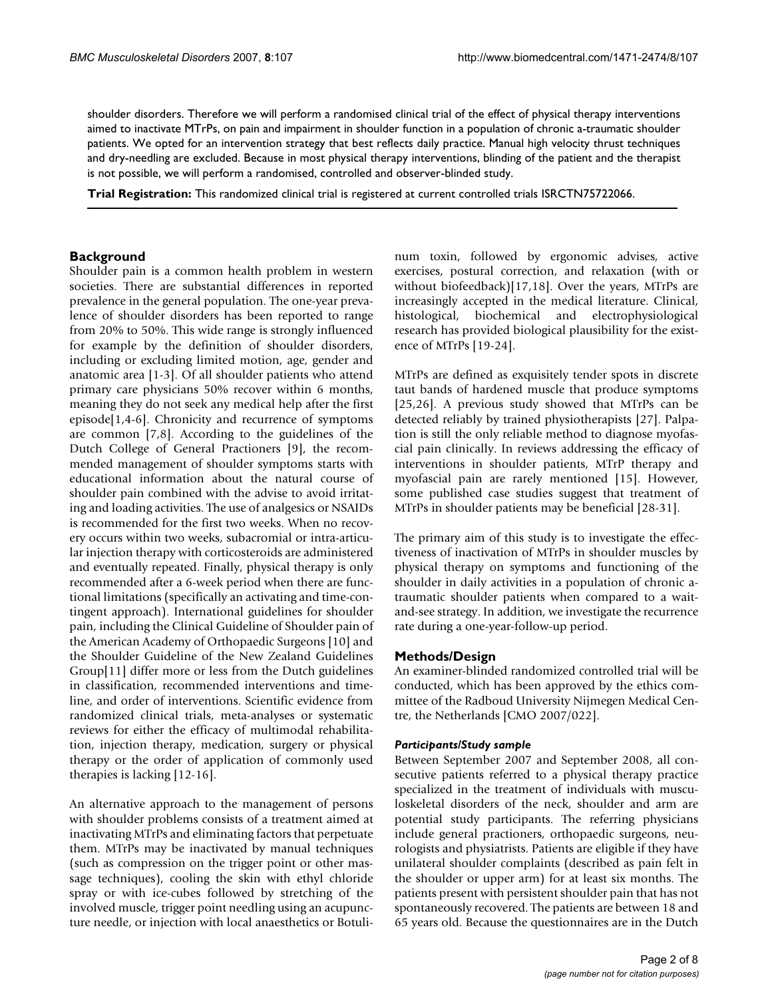shoulder disorders. Therefore we will perform a randomised clinical trial of the effect of physical therapy interventions aimed to inactivate MTrPs, on pain and impairment in shoulder function in a population of chronic a-traumatic shoulder patients. We opted for an intervention strategy that best reflects daily practice. Manual high velocity thrust techniques and dry-needling are excluded. Because in most physical therapy interventions, blinding of the patient and the therapist is not possible, we will perform a randomised, controlled and observer-blinded study.

**Trial Registration:** This randomized clinical trial is registered at current controlled trials ISRCTN75722066.

# **Background**

Shoulder pain is a common health problem in western societies. There are substantial differences in reported prevalence in the general population. The one-year prevalence of shoulder disorders has been reported to range from 20% to 50%. This wide range is strongly influenced for example by the definition of shoulder disorders, including or excluding limited motion, age, gender and anatomic area [1-3]. Of all shoulder patients who attend primary care physicians 50% recover within 6 months, meaning they do not seek any medical help after the first episode[1,4-6]. Chronicity and recurrence of symptoms are common [7,8]. According to the guidelines of the Dutch College of General Practioners [9], the recommended management of shoulder symptoms starts with educational information about the natural course of shoulder pain combined with the advise to avoid irritating and loading activities. The use of analgesics or NSAIDs is recommended for the first two weeks. When no recovery occurs within two weeks, subacromial or intra-articular injection therapy with corticosteroids are administered and eventually repeated. Finally, physical therapy is only recommended after a 6-week period when there are functional limitations (specifically an activating and time-contingent approach). International guidelines for shoulder pain, including the Clinical Guideline of Shoulder pain of the American Academy of Orthopaedic Surgeons [10] and the Shoulder Guideline of the New Zealand Guidelines Group[11] differ more or less from the Dutch guidelines in classification, recommended interventions and timeline, and order of interventions. Scientific evidence from randomized clinical trials, meta-analyses or systematic reviews for either the efficacy of multimodal rehabilitation, injection therapy, medication, surgery or physical therapy or the order of application of commonly used therapies is lacking [12-16].

An alternative approach to the management of persons with shoulder problems consists of a treatment aimed at inactivating MTrPs and eliminating factors that perpetuate them. MTrPs may be inactivated by manual techniques (such as compression on the trigger point or other massage techniques), cooling the skin with ethyl chloride spray or with ice-cubes followed by stretching of the involved muscle, trigger point needling using an acupuncture needle, or injection with local anaesthetics or Botulinum toxin, followed by ergonomic advises, active exercises, postural correction, and relaxation (with or without biofeedback)[17,18]. Over the years, MTrPs are increasingly accepted in the medical literature. Clinical, histological, biochemical and electrophysiological research has provided biological plausibility for the existence of MTrPs [19-24].

MTrPs are defined as exquisitely tender spots in discrete taut bands of hardened muscle that produce symptoms [25,26]. A previous study showed that MTrPs can be detected reliably by trained physiotherapists [27]. Palpation is still the only reliable method to diagnose myofascial pain clinically. In reviews addressing the efficacy of interventions in shoulder patients, MTrP therapy and myofascial pain are rarely mentioned [15]. However, some published case studies suggest that treatment of MTrPs in shoulder patients may be beneficial [28-31].

The primary aim of this study is to investigate the effectiveness of inactivation of MTrPs in shoulder muscles by physical therapy on symptoms and functioning of the shoulder in daily activities in a population of chronic atraumatic shoulder patients when compared to a waitand-see strategy. In addition, we investigate the recurrence rate during a one-year-follow-up period.

# **Methods/Design**

An examiner-blinded randomized controlled trial will be conducted, which has been approved by the ethics committee of the Radboud University Nijmegen Medical Centre, the Netherlands [CMO 2007/022].

# *Participants/Study sample*

Between September 2007 and September 2008, all consecutive patients referred to a physical therapy practice specialized in the treatment of individuals with musculoskeletal disorders of the neck, shoulder and arm are potential study participants. The referring physicians include general practioners, orthopaedic surgeons, neurologists and physiatrists. Patients are eligible if they have unilateral shoulder complaints (described as pain felt in the shoulder or upper arm) for at least six months. The patients present with persistent shoulder pain that has not spontaneously recovered. The patients are between 18 and 65 years old. Because the questionnaires are in the Dutch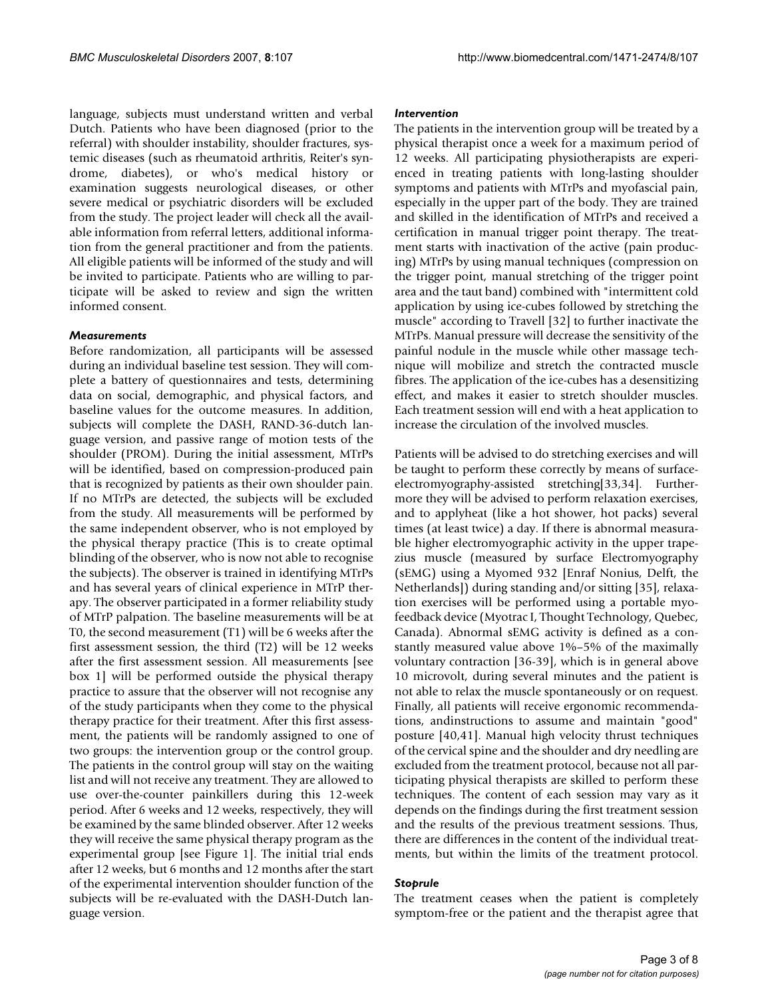language, subjects must understand written and verbal Dutch. Patients who have been diagnosed (prior to the referral) with shoulder instability, shoulder fractures, systemic diseases (such as rheumatoid arthritis, Reiter's syndrome, diabetes), or who's medical history or examination suggests neurological diseases, or other severe medical or psychiatric disorders will be excluded from the study. The project leader will check all the available information from referral letters, additional information from the general practitioner and from the patients. All eligible patients will be informed of the study and will be invited to participate. Patients who are willing to participate will be asked to review and sign the written informed consent.

### *Measurements*

Before randomization, all participants will be assessed during an individual baseline test session. They will complete a battery of questionnaires and tests, determining data on social, demographic, and physical factors, and baseline values for the outcome measures. In addition, subjects will complete the DASH, RAND-36-dutch language version, and passive range of motion tests of the shoulder (PROM). During the initial assessment, MTrPs will be identified, based on compression-produced pain that is recognized by patients as their own shoulder pain. If no MTrPs are detected, the subjects will be excluded from the study. All measurements will be performed by the same independent observer, who is not employed by the physical therapy practice (This is to create optimal blinding of the observer, who is now not able to recognise the subjects). The observer is trained in identifying MTrPs and has several years of clinical experience in MTrP therapy. The observer participated in a former reliability study of MTrP palpation. The baseline measurements will be at T0, the second measurement (T1) will be 6 weeks after the first assessment session, the third (T2) will be 12 weeks after the first assessment session. All measurements [see box 1] will be performed outside the physical therapy practice to assure that the observer will not recognise any of the study participants when they come to the physical therapy practice for their treatment. After this first assessment, the patients will be randomly assigned to one of two groups: the intervention group or the control group. The patients in the control group will stay on the waiting list and will not receive any treatment. They are allowed to use over-the-counter painkillers during this 12-week period. After 6 weeks and 12 weeks, respectively, they will be examined by the same blinded observer. After 12 weeks they will receive the same physical therapy program as the experimental group [see Figure 1]. The initial trial ends after 12 weeks, but 6 months and 12 months after the start of the experimental intervention shoulder function of the subjects will be re-evaluated with the DASH-Dutch language version.

#### *Intervention*

The patients in the intervention group will be treated by a physical therapist once a week for a maximum period of 12 weeks. All participating physiotherapists are experienced in treating patients with long-lasting shoulder symptoms and patients with MTrPs and myofascial pain, especially in the upper part of the body. They are trained and skilled in the identification of MTrPs and received a certification in manual trigger point therapy. The treatment starts with inactivation of the active (pain producing) MTrPs by using manual techniques (compression on the trigger point, manual stretching of the trigger point area and the taut band) combined with "intermittent cold application by using ice-cubes followed by stretching the muscle" according to Travell [32] to further inactivate the MTrPs. Manual pressure will decrease the sensitivity of the painful nodule in the muscle while other massage technique will mobilize and stretch the contracted muscle fibres. The application of the ice-cubes has a desensitizing effect, and makes it easier to stretch shoulder muscles. Each treatment session will end with a heat application to increase the circulation of the involved muscles.

Patients will be advised to do stretching exercises and will be taught to perform these correctly by means of surfaceelectromyography-assisted stretching[33,34]. Furthermore they will be advised to perform relaxation exercises, and to applyheat (like a hot shower, hot packs) several times (at least twice) a day. If there is abnormal measurable higher electromyographic activity in the upper trapezius muscle (measured by surface Electromyography (sEMG) using a Myomed 932 [Enraf Nonius, Delft, the Netherlands]) during standing and/or sitting [35], relaxation exercises will be performed using a portable myofeedback device (Myotrac I, Thought Technology, Quebec, Canada). Abnormal sEMG activity is defined as a constantly measured value above 1%–5% of the maximally voluntary contraction [36-39], which is in general above 10 microvolt, during several minutes and the patient is not able to relax the muscle spontaneously or on request. Finally, all patients will receive ergonomic recommendations, andinstructions to assume and maintain "good" posture [40,41]. Manual high velocity thrust techniques of the cervical spine and the shoulder and dry needling are excluded from the treatment protocol, because not all participating physical therapists are skilled to perform these techniques. The content of each session may vary as it depends on the findings during the first treatment session and the results of the previous treatment sessions. Thus, there are differences in the content of the individual treatments, but within the limits of the treatment protocol.

### *Stoprule*

The treatment ceases when the patient is completely symptom-free or the patient and the therapist agree that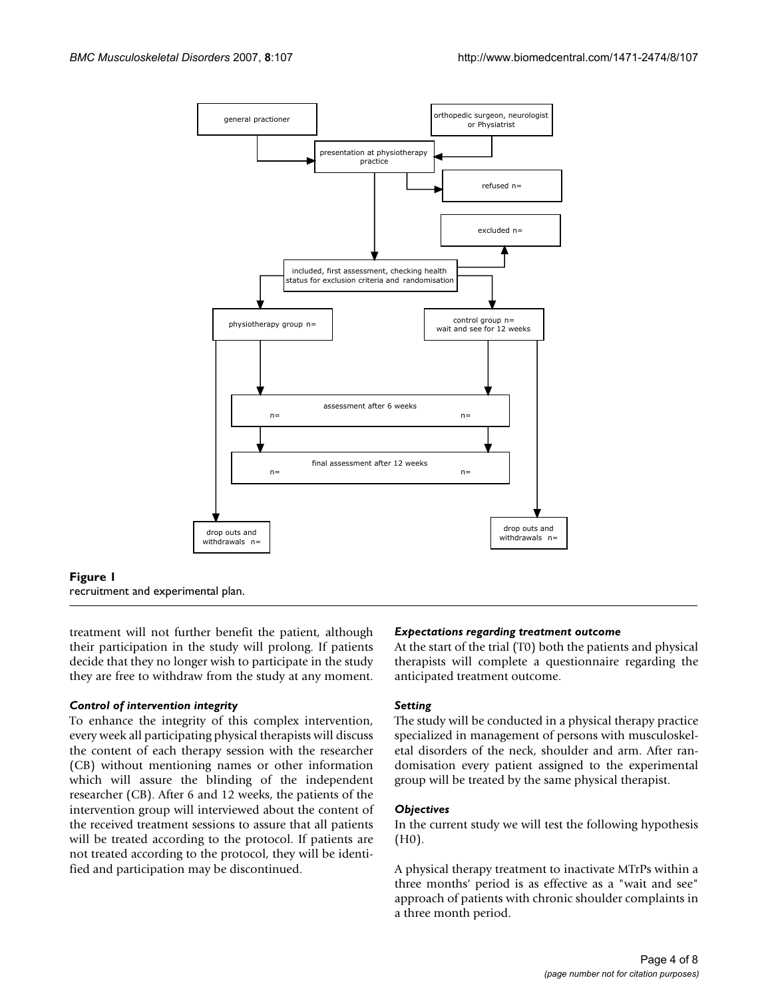

#### **Figure 1** recruitment and experimental plan.

treatment will not further benefit the patient, although their participation in the study will prolong. If patients decide that they no longer wish to participate in the study they are free to withdraw from the study at any moment.

# *Control of intervention integrity*

To enhance the integrity of this complex intervention, every week all participating physical therapists will discuss the content of each therapy session with the researcher (CB) without mentioning names or other information which will assure the blinding of the independent researcher (CB). After 6 and 12 weeks, the patients of the intervention group will interviewed about the content of the received treatment sessions to assure that all patients will be treated according to the protocol. If patients are not treated according to the protocol, they will be identified and participation may be discontinued.

# *Expectations regarding treatment outcome*

At the start of the trial (T0) both the patients and physical therapists will complete a questionnaire regarding the anticipated treatment outcome.

# *Setting*

The study will be conducted in a physical therapy practice specialized in management of persons with musculoskeletal disorders of the neck, shoulder and arm. After randomisation every patient assigned to the experimental group will be treated by the same physical therapist.

# *Objectives*

In the current study we will test the following hypothesis (H0).

A physical therapy treatment to inactivate MTrPs within a three months' period is as effective as a "wait and see" approach of patients with chronic shoulder complaints in a three month period.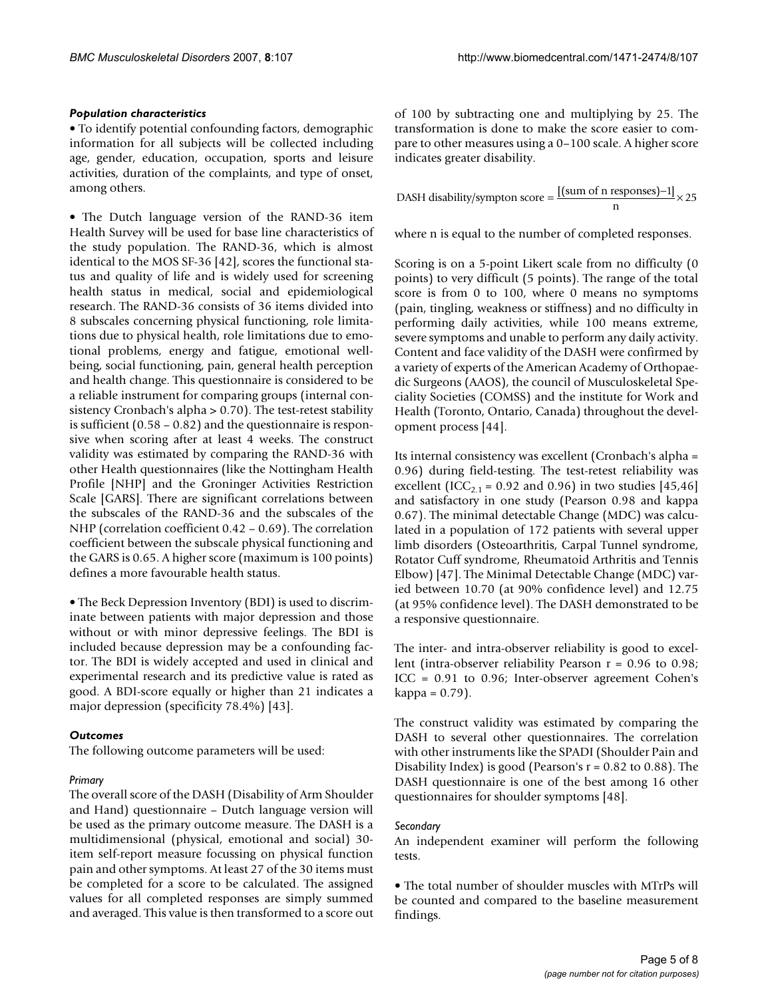### *Population characteristics*

• To identify potential confounding factors, demographic information for all subjects will be collected including age, gender, education, occupation, sports and leisure activities, duration of the complaints, and type of onset, among others.

• The Dutch language version of the RAND-36 item Health Survey will be used for base line characteristics of the study population. The RAND-36, which is almost identical to the MOS SF-36 [42], scores the functional status and quality of life and is widely used for screening health status in medical, social and epidemiological research. The RAND-36 consists of 36 items divided into 8 subscales concerning physical functioning, role limitations due to physical health, role limitations due to emotional problems, energy and fatigue, emotional wellbeing, social functioning, pain, general health perception and health change. This questionnaire is considered to be a reliable instrument for comparing groups (internal consistency Cronbach's alpha > 0.70). The test-retest stability is sufficient (0.58 – 0.82) and the questionnaire is responsive when scoring after at least 4 weeks. The construct validity was estimated by comparing the RAND-36 with other Health questionnaires (like the Nottingham Health Profile [NHP] and the Groninger Activities Restriction Scale [GARS]. There are significant correlations between the subscales of the RAND-36 and the subscales of the NHP (correlation coefficient 0.42 – 0.69). The correlation coefficient between the subscale physical functioning and the GARS is 0.65. A higher score (maximum is 100 points) defines a more favourable health status.

• The Beck Depression Inventory (BDI) is used to discriminate between patients with major depression and those without or with minor depressive feelings. The BDI is included because depression may be a confounding factor. The BDI is widely accepted and used in clinical and experimental research and its predictive value is rated as good. A BDI-score equally or higher than 21 indicates a major depression (specificity 78.4%) [43].

### *Outcomes*

The following outcome parameters will be used:

### *Primary*

The overall score of the DASH (Disability of Arm Shoulder and Hand) questionnaire – Dutch language version will be used as the primary outcome measure. The DASH is a multidimensional (physical, emotional and social) 30 item self-report measure focussing on physical function pain and other symptoms. At least 27 of the 30 items must be completed for a score to be calculated. The assigned values for all completed responses are simply summed and averaged. This value is then transformed to a score out of 100 by subtracting one and multiplying by 25. The transformation is done to make the score easier to compare to other measures using a 0–100 scale. A higher score indicates greater disability.

DASH disability/sympton score = 
$$
\frac{[(\text{sum of n responses})-1]}{n} \times 25
$$

where n is equal to the number of completed responses.

Scoring is on a 5-point Likert scale from no difficulty (0 points) to very difficult (5 points). The range of the total score is from 0 to 100, where 0 means no symptoms (pain, tingling, weakness or stiffness) and no difficulty in performing daily activities, while 100 means extreme, severe symptoms and unable to perform any daily activity. Content and face validity of the DASH were confirmed by a variety of experts of the American Academy of Orthopaedic Surgeons (AAOS), the council of Musculoskeletal Speciality Societies (COMSS) and the institute for Work and Health (Toronto, Ontario, Canada) throughout the development process [44].

Its internal consistency was excellent (Cronbach's alpha = 0.96) during field-testing. The test-retest reliability was excellent (ICC<sub>2.1</sub> = 0.92 and 0.96) in two studies [45,46] and satisfactory in one study (Pearson 0.98 and kappa 0.67). The minimal detectable Change (MDC) was calculated in a population of 172 patients with several upper limb disorders (Osteoarthritis, Carpal Tunnel syndrome, Rotator Cuff syndrome, Rheumatoid Arthritis and Tennis Elbow) [47]. The Minimal Detectable Change (MDC) varied between 10.70 (at 90% confidence level) and 12.75 (at 95% confidence level). The DASH demonstrated to be a responsive questionnaire.

The inter- and intra-observer reliability is good to excellent (intra-observer reliability Pearson r = 0.96 to 0.98; ICC = 0.91 to 0.96; Inter-observer agreement Cohen's kappa = 0.79).

The construct validity was estimated by comparing the DASH to several other questionnaires. The correlation with other instruments like the SPADI (Shoulder Pain and Disability Index) is good (Pearson's r = 0.82 to 0.88). The DASH questionnaire is one of the best among 16 other questionnaires for shoulder symptoms [48].

#### *Secondary*

An independent examiner will perform the following tests.

• The total number of shoulder muscles with MTrPs will be counted and compared to the baseline measurement findings.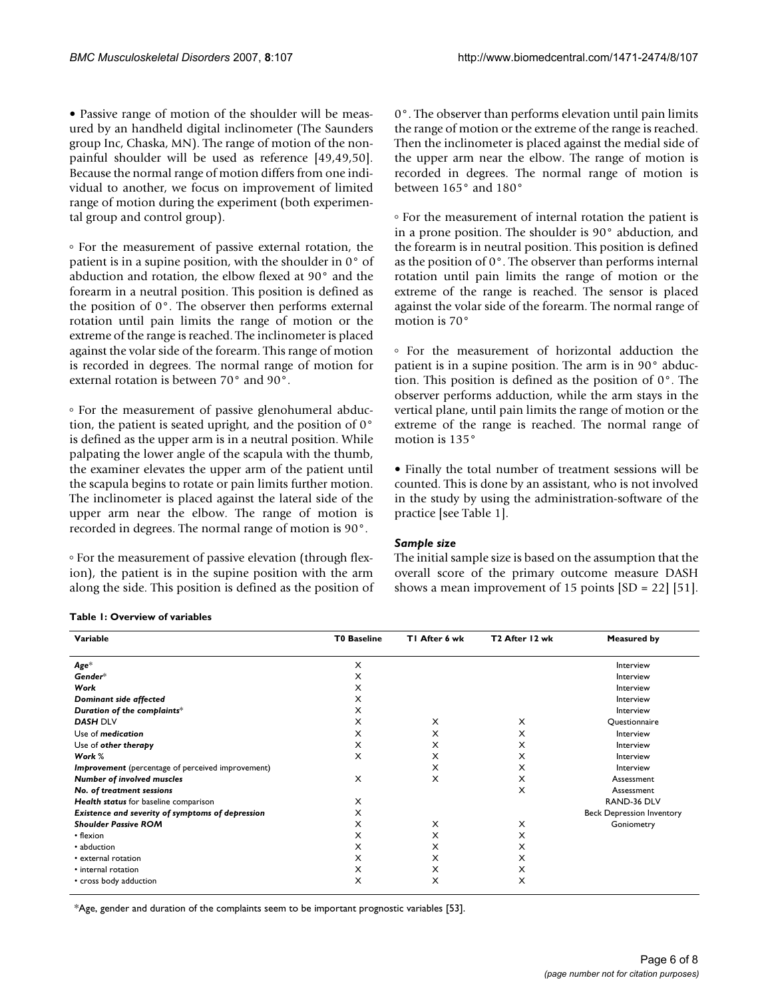• Passive range of motion of the shoulder will be measured by an handheld digital inclinometer (The Saunders group Inc, Chaska, MN). The range of motion of the nonpainful shoulder will be used as reference [49,49,50]. Because the normal range of motion differs from one individual to another, we focus on improvement of limited range of motion during the experiment (both experimental group and control group).

 For the measurement of passive external rotation, the patient is in a supine position, with the shoulder in 0° of abduction and rotation, the elbow flexed at 90° and the forearm in a neutral position. This position is defined as the position of 0°. The observer then performs external rotation until pain limits the range of motion or the extreme of the range is reached. The inclinometer is placed against the volar side of the forearm. This range of motion is recorded in degrees. The normal range of motion for external rotation is between 70° and 90°.

 For the measurement of passive glenohumeral abduction, the patient is seated upright, and the position of 0° is defined as the upper arm is in a neutral position. While palpating the lower angle of the scapula with the thumb, the examiner elevates the upper arm of the patient until the scapula begins to rotate or pain limits further motion. The inclinometer is placed against the lateral side of the upper arm near the elbow. The range of motion is recorded in degrees. The normal range of motion is 90°.

 For the measurement of passive elevation (through flexion), the patient is in the supine position with the arm along the side. This position is defined as the position of 0°. The observer than performs elevation until pain limits the range of motion or the extreme of the range is reached. Then the inclinometer is placed against the medial side of the upper arm near the elbow. The range of motion is recorded in degrees. The normal range of motion is between 165° and 180°

 For the measurement of internal rotation the patient is in a prone position. The shoulder is 90° abduction, and the forearm is in neutral position. This position is defined as the position of 0°. The observer than performs internal rotation until pain limits the range of motion or the extreme of the range is reached. The sensor is placed against the volar side of the forearm. The normal range of motion is 70°

 For the measurement of horizontal adduction the patient is in a supine position. The arm is in 90° abduction. This position is defined as the position of 0°. The observer performs adduction, while the arm stays in the vertical plane, until pain limits the range of motion or the extreme of the range is reached. The normal range of motion is 135°

• Finally the total number of treatment sessions will be counted. This is done by an assistant, who is not involved in the study by using the administration-software of the practice [see Table 1].

# *Sample size*

The initial sample size is based on the assumption that the overall score of the primary outcome measure DASH shows a mean improvement of 15 points  $[SD = 22]$  [51].

|  |  |  |  | Table 1: Overview of variables |  |
|--|--|--|--|--------------------------------|--|
|--|--|--|--|--------------------------------|--|

| Variable                                                 | <b>T0 Baseline</b> | TI After 6 wk | T <sub>2</sub> After 12 wk | <b>Measured by</b>               |
|----------------------------------------------------------|--------------------|---------------|----------------------------|----------------------------------|
|                                                          |                    |               |                            |                                  |
| $Age*$                                                   | X                  |               |                            | Interview                        |
| Gender*                                                  | X                  |               |                            | Interview                        |
| Work                                                     | X                  |               |                            | Interview                        |
| Dominant side affected                                   | X                  |               |                            | Interview                        |
| Duration of the complaints*                              | X                  |               |                            | Interview                        |
| <b>DASH DLV</b>                                          | X                  | X             | X                          | Questionnaire                    |
| Use of medication                                        | X                  | X             | X                          | Interview                        |
| Use of other therapy                                     | X                  | X             | X                          | Interview                        |
| Work %                                                   | X                  | X             | X                          | Interview                        |
| <b>Improvement</b> (percentage of perceived improvement) |                    | X             | X                          | Interview                        |
| Number of involved muscles                               | X                  | X             | X                          | Assessment                       |
| No. of treatment sessions                                |                    |               | X                          | Assessment                       |
| Health status for baseline comparison                    | X                  |               |                            | RAND-36 DLV                      |
| Existence and severity of symptoms of depression         | X                  |               |                            | <b>Beck Depression Inventory</b> |
| <b>Shoulder Passive ROM</b>                              | X                  | X             | X                          | Goniometry                       |
| • flexion                                                | X                  | X             | X                          |                                  |
| • abduction                                              | X                  | X             | X                          |                                  |
| • external rotation                                      | X                  | X             | X                          |                                  |
| • internal rotation                                      | X                  | X             | X                          |                                  |
| • cross body adduction                                   | X                  | X             | X                          |                                  |

\*Age, gender and duration of the complaints seem to be important prognostic variables [53].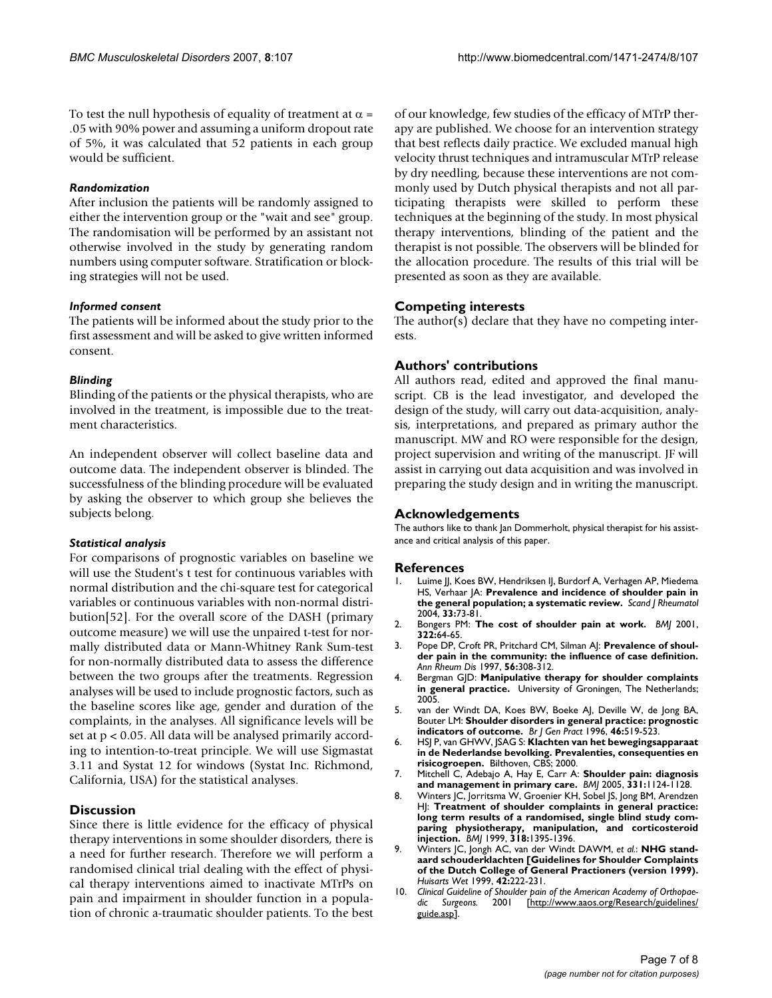To test the null hypothesis of equality of treatment at  $\alpha$  = .05 with 90% power and assuming a uniform dropout rate of 5%, it was calculated that 52 patients in each group would be sufficient.

# *Randomization*

After inclusion the patients will be randomly assigned to either the intervention group or the "wait and see" group. The randomisation will be performed by an assistant not otherwise involved in the study by generating random numbers using computer software. Stratification or blocking strategies will not be used.

# *Informed consent*

The patients will be informed about the study prior to the first assessment and will be asked to give written informed consent.

# *Blinding*

Blinding of the patients or the physical therapists, who are involved in the treatment, is impossible due to the treatment characteristics.

An independent observer will collect baseline data and outcome data. The independent observer is blinded. The successfulness of the blinding procedure will be evaluated by asking the observer to which group she believes the subjects belong.

# *Statistical analysis*

For comparisons of prognostic variables on baseline we will use the Student's t test for continuous variables with normal distribution and the chi-square test for categorical variables or continuous variables with non-normal distribution[52]. For the overall score of the DASH (primary outcome measure) we will use the unpaired t-test for normally distributed data or Mann-Whitney Rank Sum-test for non-normally distributed data to assess the difference between the two groups after the treatments. Regression analyses will be used to include prognostic factors, such as the baseline scores like age, gender and duration of the complaints, in the analyses. All significance levels will be set at p < 0.05. All data will be analysed primarily according to intention-to-treat principle. We will use Sigmastat 3.11 and Systat 12 for windows (Systat Inc. Richmond, California, USA) for the statistical analyses.

# **Discussion**

Since there is little evidence for the efficacy of physical therapy interventions in some shoulder disorders, there is a need for further research. Therefore we will perform a randomised clinical trial dealing with the effect of physical therapy interventions aimed to inactivate MTrPs on pain and impairment in shoulder function in a population of chronic a-traumatic shoulder patients. To the best of our knowledge, few studies of the efficacy of MTrP therapy are published. We choose for an intervention strategy that best reflects daily practice. We excluded manual high velocity thrust techniques and intramuscular MTrP release by dry needling, because these interventions are not commonly used by Dutch physical therapists and not all participating therapists were skilled to perform these techniques at the beginning of the study. In most physical therapy interventions, blinding of the patient and the therapist is not possible. The observers will be blinded for the allocation procedure. The results of this trial will be presented as soon as they are available.

# **Competing interests**

The author(s) declare that they have no competing interests.

# **Authors' contributions**

All authors read, edited and approved the final manuscript. CB is the lead investigator, and developed the design of the study, will carry out data-acquisition, analysis, interpretations, and prepared as primary author the manuscript. MW and RO were responsible for the design, project supervision and writing of the manuscript. JF will assist in carrying out data acquisition and was involved in preparing the study design and in writing the manuscript.

# **Acknowledgements**

The authors like to thank Jan Dommerholt, physical therapist for his assistance and critical analysis of this paper.

# **References**

- Luime JJ, Koes BW, Hendriksen IJ, Burdorf A, Verhagen AP, Miedema HS, Verhaar JA: **[Prevalence and incidence of shoulder pain in](http://www.ncbi.nlm.nih.gov/entrez/query.fcgi?cmd=Retrieve&db=PubMed&dopt=Abstract&list_uids=15163107) [the general population; a systematic review.](http://www.ncbi.nlm.nih.gov/entrez/query.fcgi?cmd=Retrieve&db=PubMed&dopt=Abstract&list_uids=15163107)** *Scand J Rheumatol* 2004, **33:**73-81.
- 2. Bongers PM: **[The cost of shoulder pain at work.](http://www.ncbi.nlm.nih.gov/entrez/query.fcgi?cmd=Retrieve&db=PubMed&dopt=Abstract&list_uids=11154606)** *BMJ* 2001, **322:**64-65.
- 3. Pope DP, Croft PR, Pritchard CM, Silman AJ: **[Prevalence of shoul](http://www.ncbi.nlm.nih.gov/entrez/query.fcgi?cmd=Retrieve&db=PubMed&dopt=Abstract&list_uids=9175931)[der pain in the community: the influence of case definition.](http://www.ncbi.nlm.nih.gov/entrez/query.fcgi?cmd=Retrieve&db=PubMed&dopt=Abstract&list_uids=9175931)** *Ann Rheum Dis* 1997, **56:**308-312.
- 4. Bergman GJD: **Manipulative therapy for shoulder complaints in general practice.** University of Groningen, The Netherlands; 2005.
- 5. van der Windt DA, Koes BW, Boeke AJ, Deville W, de Jong BA, Bouter LM: **[Shoulder disorders in general practice: prognostic](http://www.ncbi.nlm.nih.gov/entrez/query.fcgi?cmd=Retrieve&db=PubMed&dopt=Abstract&list_uids=8917870) [indicators of outcome.](http://www.ncbi.nlm.nih.gov/entrez/query.fcgi?cmd=Retrieve&db=PubMed&dopt=Abstract&list_uids=8917870)** *Br J Gen Pract* 1996, **46:**519-523.
- 6. HSJ P, van GHWV, JSAG S: **Klachten van het bewegingsapparaat in de Nederlandse bevolking. Prevalenties, consequenties en risicogroepen.** Bilthoven, CBS; 2000.
- 7. Mitchell C, Adebajo A, Hay E, Carr A: **[Shoulder pain: diagnosis](http://www.ncbi.nlm.nih.gov/entrez/query.fcgi?cmd=Retrieve&db=PubMed&dopt=Abstract&list_uids=16282408) [and management in primary care.](http://www.ncbi.nlm.nih.gov/entrez/query.fcgi?cmd=Retrieve&db=PubMed&dopt=Abstract&list_uids=16282408)** *BMJ* 2005, **331:**1124-1128.
- 8. Winters JC, Jorritsma W, Groenier KH, Sobel JS, Jong BM, Arendzen HJ: **[Treatment of shoulder complaints in general practice:](http://www.ncbi.nlm.nih.gov/entrez/query.fcgi?cmd=Retrieve&db=PubMed&dopt=Abstract&list_uids=10334751) long term results of a randomised, single blind study com[paring physiotherapy, manipulation, and corticosteroid](http://www.ncbi.nlm.nih.gov/entrez/query.fcgi?cmd=Retrieve&db=PubMed&dopt=Abstract&list_uids=10334751) [injection.](http://www.ncbi.nlm.nih.gov/entrez/query.fcgi?cmd=Retrieve&db=PubMed&dopt=Abstract&list_uids=10334751)** *BMJ* 1999, **318:**1395-1396.
- 9. Winters JC, Jongh AC, van der Windt DAWM, *et al.*: **NHG standaard schouderklachten [Guidelines for Shoulder Complaints of the Dutch College of General Practioners (version 1999).** *Huisarts Wet* 1999, **42:**222-231.
- 10. *Clinical Guideline of Shoulder pain of the American Academy of Orthopaedic Surgeons.* 2001 [[http://www.aaos.org/Research/guidelines/](http://www.aaos.org/Research/guidelines/guide.asp) [guide.asp](http://www.aaos.org/Research/guidelines/guide.asp)<sup>1</sup>.